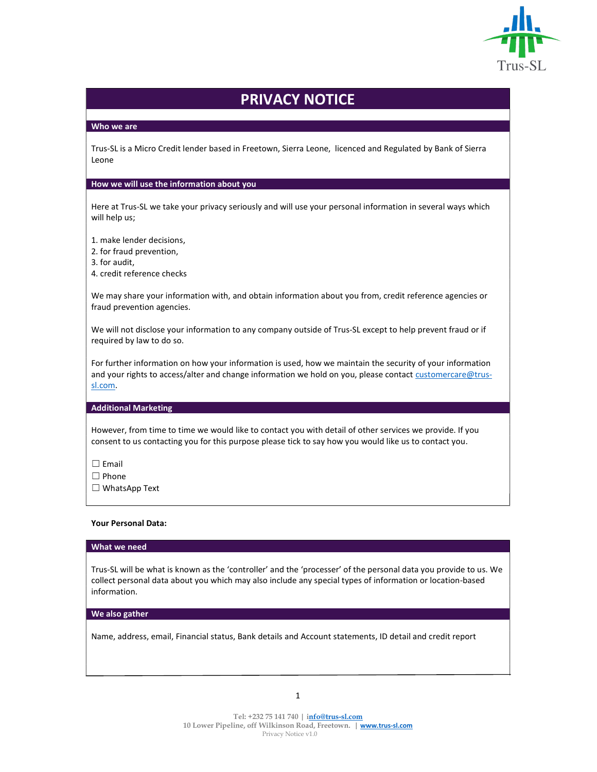

# PRIVACY NOTICE

# Who we are

Trus-SL is a Micro Credit lender based in Freetown, Sierra Leone, licenced and Regulated by Bank of Sierra Leone

#### How we will use the information about you

Here at Trus-SL we take your privacy seriously and will use your personal information in several ways which will help us;

- 1. make lender decisions,
- 2. for fraud prevention,
- 3. for audit,
- 4. credit reference checks

We may share your information with, and obtain information about you from, credit reference agencies or fraud prevention agencies.

We will not disclose your information to any company outside of Trus-SL except to help prevent fraud or if required by law to do so.

For further information on how your information is used, how we maintain the security of your information and your rights to access/alter and change information we hold on you, please contact customercare@trussl.com.

# Additional Marketing

However, from time to time we would like to contact you with detail of other services we provide. If you consent to us contacting you for this purpose please tick to say how you would like us to contact you.

☐ Email

☐ Phone

☐ WhatsApp Text

## Your Personal Data:

## What we need

Trus-SL will be what is known as the 'controller' and the 'processer' of the personal data you provide to us. We collect personal data about you which may also include any special types of information or location-based information.

#### We also gather

Name, address, email, Financial status, Bank details and Account statements, ID detail and credit report